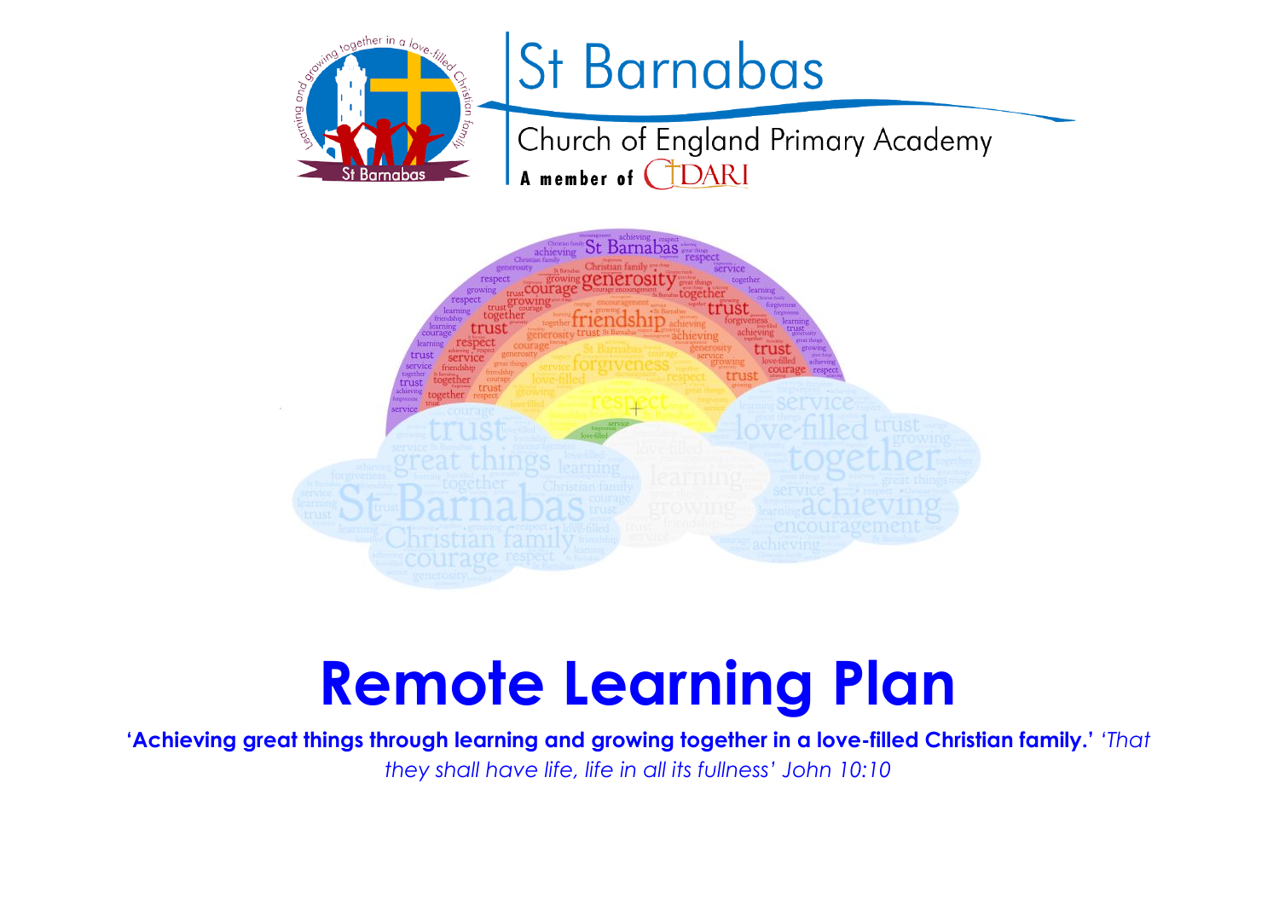



# **Remote Learning Plan**

**'Achieving great things through learning and growing together in a love-filled Christian family.'** *'That they shall have life, life in all its fullness' John 10:10*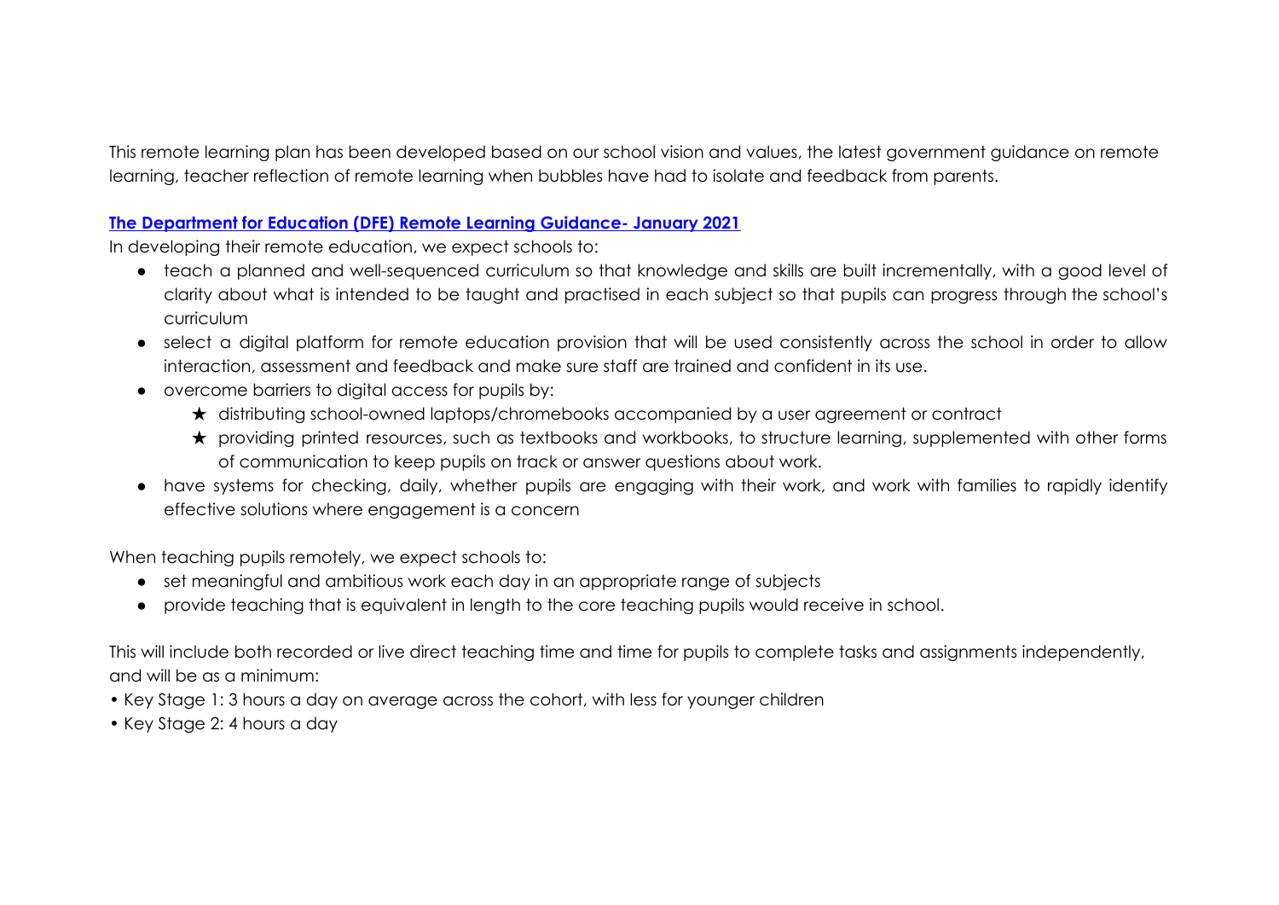This remote learning plan has been developed based on our school vision and values, the latest government guidance on remote learning, teacher reflection of remote learning when bubbles have had to isolate and feedback from parents.

## **The Department for Education (DFE) Remote Learning Guidance- January 2021**

In developing their remote education, we expect schools to:

- teach a planned and well-sequenced curriculum so that knowledge and skills are built incrementally, with a good level of clarity about what is intended to be taught and practised in each subject so that pupils can progress through the school's curriculum
- select a digital platform for remote education provision that will be used consistently across the school in order to allow interaction, assessment and feedback and make sure staff are trained and confident in its use.
- overcome barriers to digital access for pupils by:
	- ★ distributing school-owned laptops/chromebooks accompanied by a user agreement or contract
	- ★ providing printed resources, such as textbooks and workbooks, to structure learning, supplemented with other forms of communication to keep pupils on track or answer questions about work.
- have systems for checking, daily, whether pupils are engaging with their work, and work with families to rapidly identify effective solutions where engagement is a concern

When teaching pupils remotely, we expect schools to:

- set meaningful and ambitious work each day in an appropriate range of subjects
- provide teaching that is equivalent in length to the core teaching pupils would receive in school.

This will include both recorded or live direct teaching time and time for pupils to complete tasks and assignments independently, and will be as a minimum:

- Key Stage 1: 3 hours a day on average across the cohort, with less for younger children
- Key Stage 2: 4 hours a day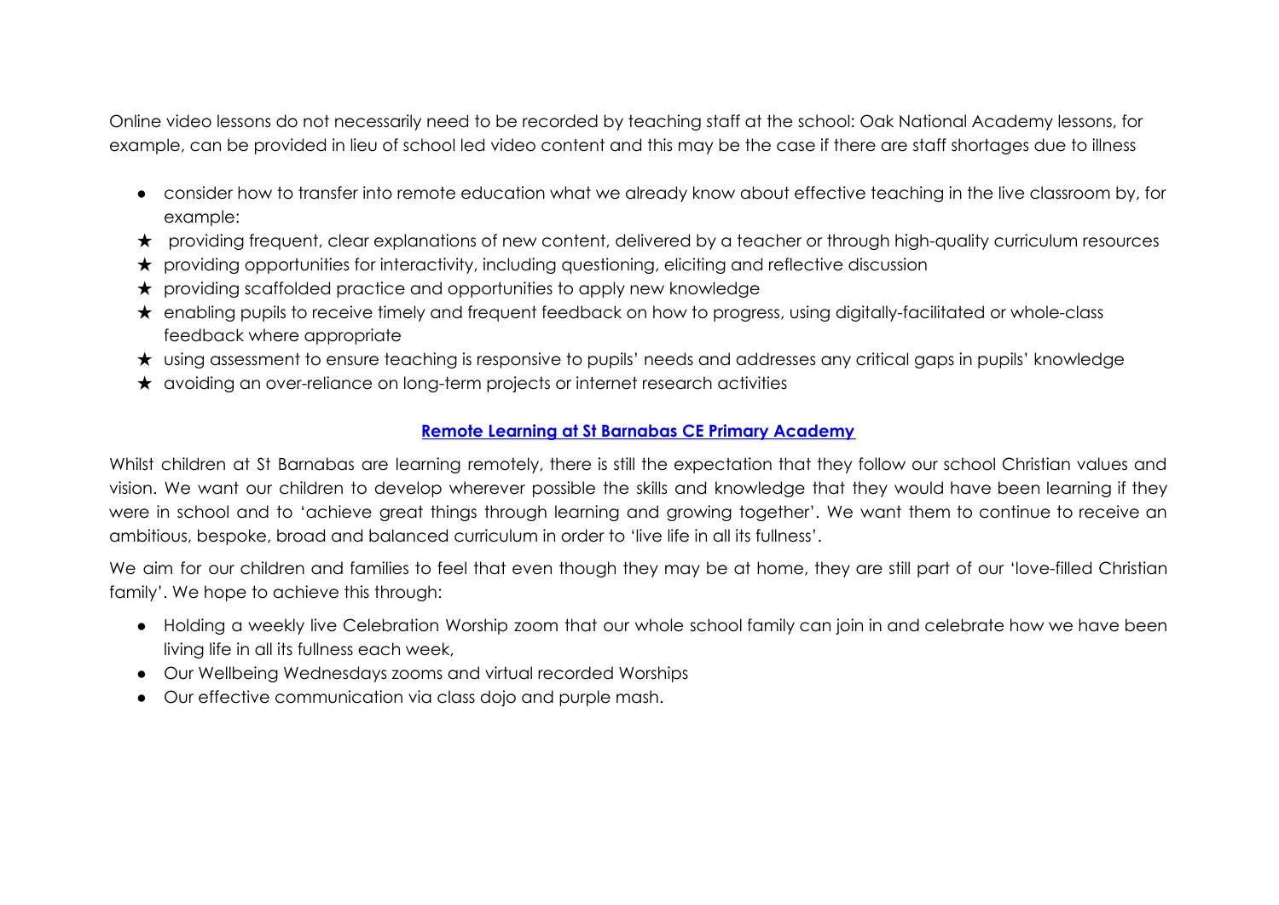Online video lessons do not necessarily need to be recorded by teaching staff at the school: Oak National Academy lessons, for example, can be provided in lieu of school led video content and this may be the case if there are staff shortages due to illness

- consider how to transfer into remote education what we already know about effective teaching in the live classroom by, for example:
- ★ providing frequent, clear explanations of new content, delivered by a teacher or through high-quality curriculum resources
- ★ providing opportunities for interactivity, including questioning, eliciting and reflective discussion
- ★ providing scaffolded practice and opportunities to apply new knowledge
- ★ enabling pupils to receive timely and frequent feedback on how to progress, using digitally-facilitated or whole-class feedback where appropriate
- ★ using assessment to ensure teaching is responsive to pupils' needs and addresses any critical gaps in pupils' knowledge
- ★ avoiding an over-reliance on long-term projects or internet research activities

## **Remote Learning at St Barnabas CE Primary Academy**

Whilst children at St Barnabas are learning remotely, there is still the expectation that they follow our school Christian values and vision. We want our children to develop wherever possible the skills and knowledge that they would have been learning if they were in school and to 'achieve great things through learning and growing together'. We want them to continue to receive an ambitious, bespoke, broad and balanced curriculum in order to 'live life in all its fullness'.

We aim for our children and families to feel that even though they may be at home, they are still part of our 'love-filled Christian family'. We hope to achieve this through:

- Holding a weekly live Celebration Worship zoom that our whole school family can join in and celebrate how we have been living life in all its fullness each week,
- Our Wellbeing Wednesdays zooms and virtual recorded Worships
- Our effective communication via class dojo and purple mash.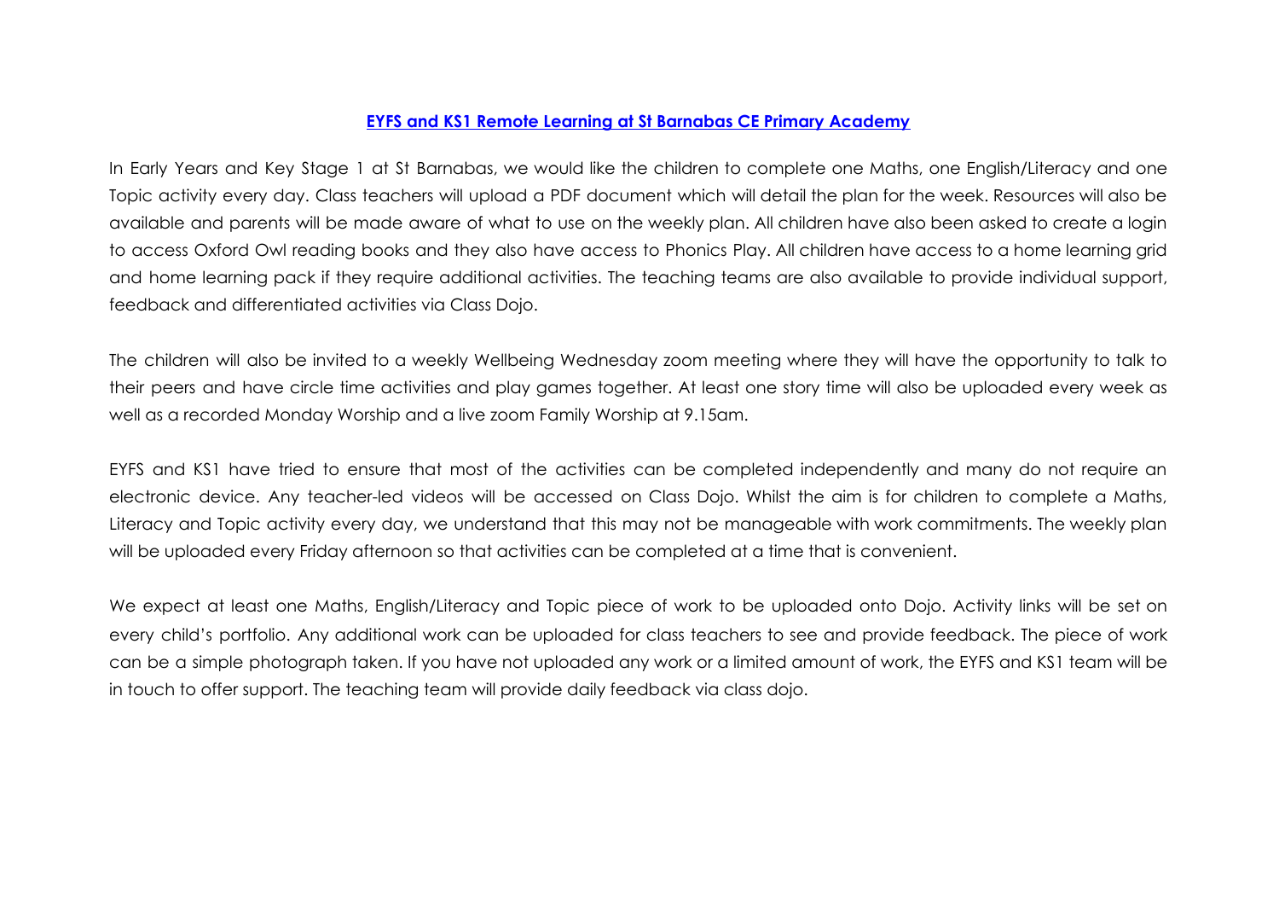### **EYFS and KS1 Remote Learning at St Barnabas CE Primary Academy**

In Early Years and Key Stage 1 at St Barnabas, we would like the children to complete one Maths, one English/Literacy and one Topic activity every day. Class teachers will upload a PDF document which will detail the plan for the week. Resources will also be available and parents will be made aware of what to use on the weekly plan. All children have also been asked to create a login to access Oxford Owl reading books and they also have access to Phonics Play. All children have access to a home learning grid and home learning pack if they require additional activities. The teaching teams are also available to provide individual support, feedback and differentiated activities via Class Dojo.

The children will also be invited to a weekly Wellbeing Wednesday zoom meeting where they will have the opportunity to talk to their peers and have circle time activities and play games together. At least one story time will also be uploaded every week as well as a recorded Monday Worship and a live zoom Family Worship at 9.15am.

EYFS and KS1 have tried to ensure that most of the activities can be completed independently and many do not require an electronic device. Any teacher-led videos will be accessed on Class Dojo. Whilst the aim is for children to complete a Maths, Literacy and Topic activity every day, we understand that this may not be manageable with work commitments. The weekly plan will be uploaded every Friday afternoon so that activities can be completed at a time that is convenient.

We expect at least one Maths, English/Literacy and Topic piece of work to be uploaded onto Dojo. Activity links will be set on every child's portfolio. Any additional work can be uploaded for class teachers to see and provide feedback. The piece of work can be a simple photograph taken. If you have not uploaded any work or a limited amount of work, the EYFS and KS1 team will be in touch to offer support. The teaching team will provide daily feedback via class dojo.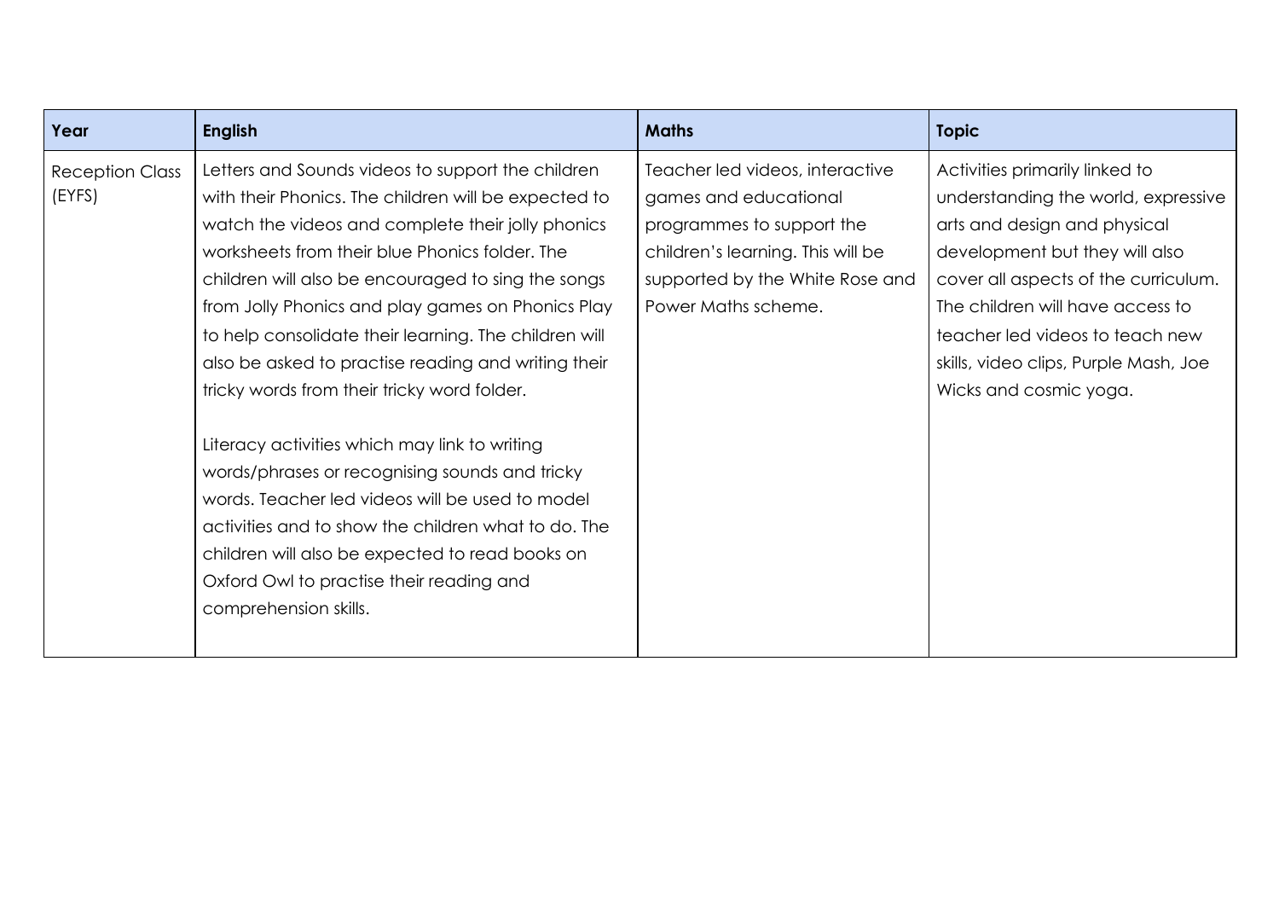| Year                             | <b>English</b>                                                                                                                                                                                                                                                                                                                                                                                                                                                                                                                                                                                                                                                                                                                                                                                                                  | <b>Maths</b>                                                                                                                                                                         | <b>Topic</b>                                                                                                                                                                                                                                                                                                              |
|----------------------------------|---------------------------------------------------------------------------------------------------------------------------------------------------------------------------------------------------------------------------------------------------------------------------------------------------------------------------------------------------------------------------------------------------------------------------------------------------------------------------------------------------------------------------------------------------------------------------------------------------------------------------------------------------------------------------------------------------------------------------------------------------------------------------------------------------------------------------------|--------------------------------------------------------------------------------------------------------------------------------------------------------------------------------------|---------------------------------------------------------------------------------------------------------------------------------------------------------------------------------------------------------------------------------------------------------------------------------------------------------------------------|
| <b>Reception Class</b><br>(EYFS) | Letters and Sounds videos to support the children<br>with their Phonics. The children will be expected to<br>watch the videos and complete their jolly phonics<br>worksheets from their blue Phonics folder. The<br>children will also be encouraged to sing the songs<br>from Jolly Phonics and play games on Phonics Play<br>to help consolidate their learning. The children will<br>also be asked to practise reading and writing their<br>tricky words from their tricky word folder.<br>Literacy activities which may link to writing<br>words/phrases or recognising sounds and tricky<br>words. Teacher led videos will be used to model<br>activities and to show the children what to do. The<br>children will also be expected to read books on<br>Oxford Owl to practise their reading and<br>comprehension skills. | Teacher led videos, interactive<br>games and educational<br>programmes to support the<br>children's learning. This will be<br>supported by the White Rose and<br>Power Maths scheme. | Activities primarily linked to<br>understanding the world, expressive<br>arts and design and physical<br>development but they will also<br>cover all aspects of the curriculum.<br>The children will have access to<br>teacher led videos to teach new<br>skills, video clips, Purple Mash, Joe<br>Wicks and cosmic yoga. |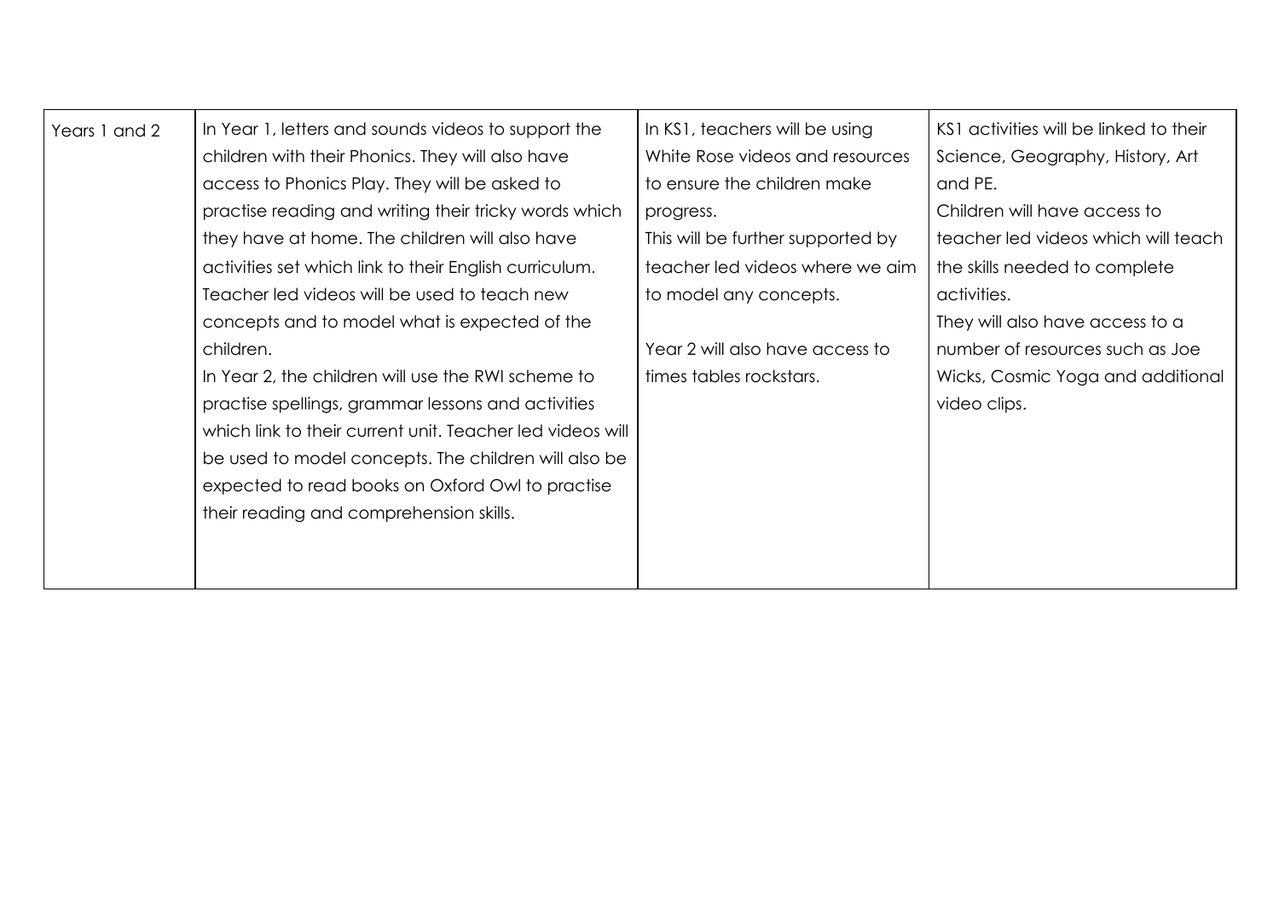| Years 1 and 2 | In Year 1, letters and sounds videos to support the<br>children with their Phonics. They will also have<br>access to Phonics Play. They will be asked to<br>practise reading and writing their tricky words which<br>they have at home. The children will also have<br>activities set which link to their English curriculum.<br>Teacher led videos will be used to teach new<br>concepts and to model what is expected of the<br>children.<br>In Year 2, the children will use the RWI scheme to<br>practise spellings, grammar lessons and activities<br>which link to their current unit. Teacher led videos will<br>be used to model concepts. The children will also be<br>expected to read books on Oxford Owl to practise<br>their reading and comprehension skills. | In KS1, teachers will be using<br>White Rose videos and resources<br>to ensure the children make<br>progress.<br>This will be further supported by<br>teacher led videos where we aim<br>to model any concepts.<br>Year 2 will also have access to<br>times tables rockstars. | KS1 activities will be linked to their<br>Science, Geography, History, Art<br>and PE.<br>Children will have access to<br>teacher led videos which will teach<br>the skills needed to complete<br>activities.<br>They will also have access to a<br>number of resources such as Joe<br>Wicks, Cosmic Yoga and additional<br>video clips. |
|---------------|-----------------------------------------------------------------------------------------------------------------------------------------------------------------------------------------------------------------------------------------------------------------------------------------------------------------------------------------------------------------------------------------------------------------------------------------------------------------------------------------------------------------------------------------------------------------------------------------------------------------------------------------------------------------------------------------------------------------------------------------------------------------------------|-------------------------------------------------------------------------------------------------------------------------------------------------------------------------------------------------------------------------------------------------------------------------------|-----------------------------------------------------------------------------------------------------------------------------------------------------------------------------------------------------------------------------------------------------------------------------------------------------------------------------------------|
|---------------|-----------------------------------------------------------------------------------------------------------------------------------------------------------------------------------------------------------------------------------------------------------------------------------------------------------------------------------------------------------------------------------------------------------------------------------------------------------------------------------------------------------------------------------------------------------------------------------------------------------------------------------------------------------------------------------------------------------------------------------------------------------------------------|-------------------------------------------------------------------------------------------------------------------------------------------------------------------------------------------------------------------------------------------------------------------------------|-----------------------------------------------------------------------------------------------------------------------------------------------------------------------------------------------------------------------------------------------------------------------------------------------------------------------------------------|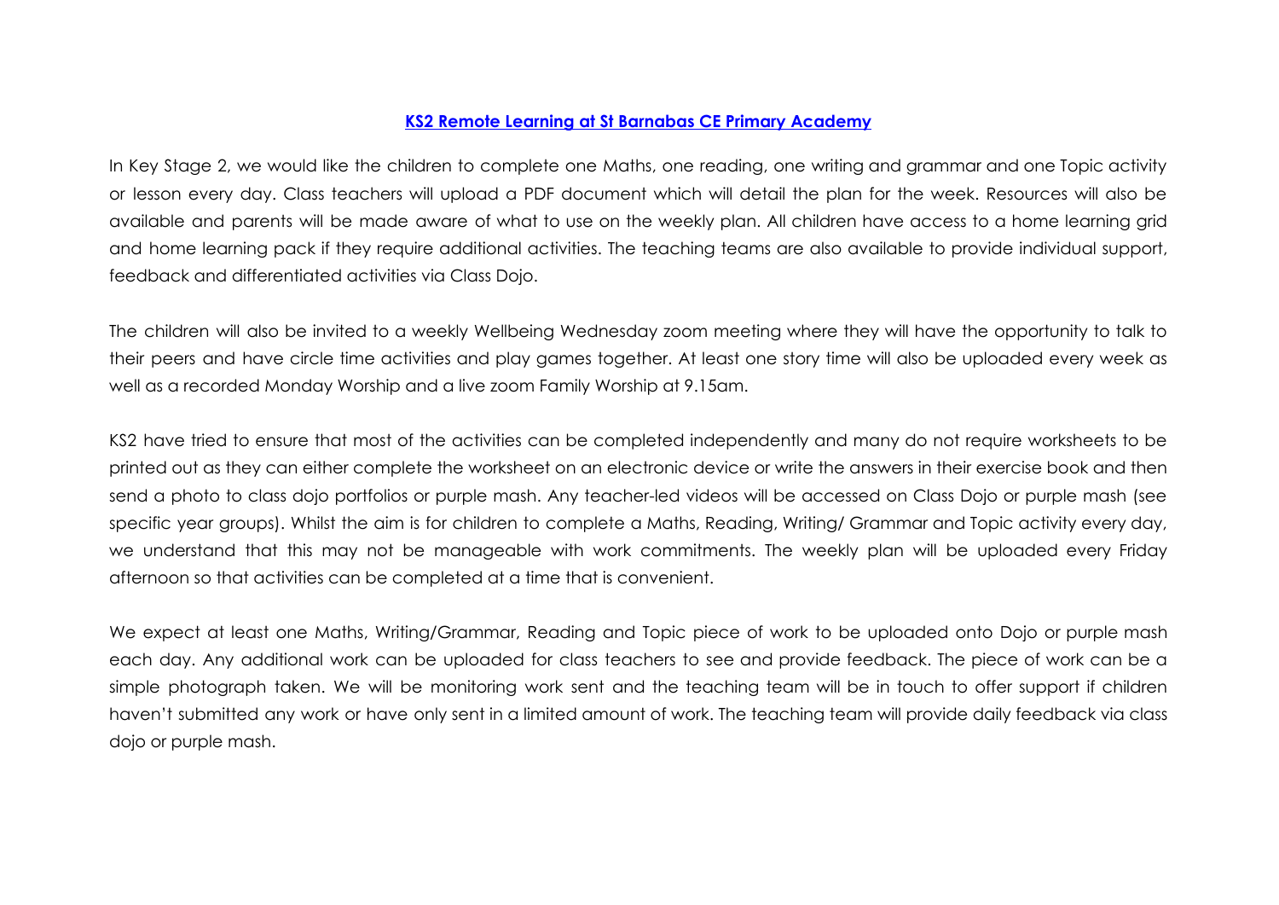### **KS2 Remote Learning at St Barnabas CE Primary Academy**

In Key Stage 2, we would like the children to complete one Maths, one reading, one writing and grammar and one Topic activity or lesson every day. Class teachers will upload a PDF document which will detail the plan for the week. Resources will also be available and parents will be made aware of what to use on the weekly plan. All children have access to a home learning grid and home learning pack if they require additional activities. The teaching teams are also available to provide individual support, feedback and differentiated activities via Class Dojo.

The children will also be invited to a weekly Wellbeing Wednesday zoom meeting where they will have the opportunity to talk to their peers and have circle time activities and play games together. At least one story time will also be uploaded every week as well as a recorded Monday Worship and a live zoom Family Worship at 9.15am.

KS2 have tried to ensure that most of the activities can be completed independently and many do not require worksheets to be printed out as they can either complete the worksheet on an electronic device or write the answers in their exercise book and then send a photo to class dojo portfolios or purple mash. Any teacher-led videos will be accessed on Class Dojo or purple mash (see specific year groups). Whilst the aim is for children to complete a Maths, Reading, Writing/ Grammar and Topic activity every day, we understand that this may not be manageable with work commitments. The weekly plan will be uploaded every Friday afternoon so that activities can be completed at a time that is convenient.

We expect at least one Maths, Writing/Grammar, Reading and Topic piece of work to be uploaded onto Dojo or purple mash each day. Any additional work can be uploaded for class teachers to see and provide feedback. The piece of work can be a simple photograph taken. We will be monitoring work sent and the teaching team will be in touch to offer support if children haven't submitted any work or have only sent in a limited amount of work. The teaching team will provide daily feedback via class dojo or purple mash.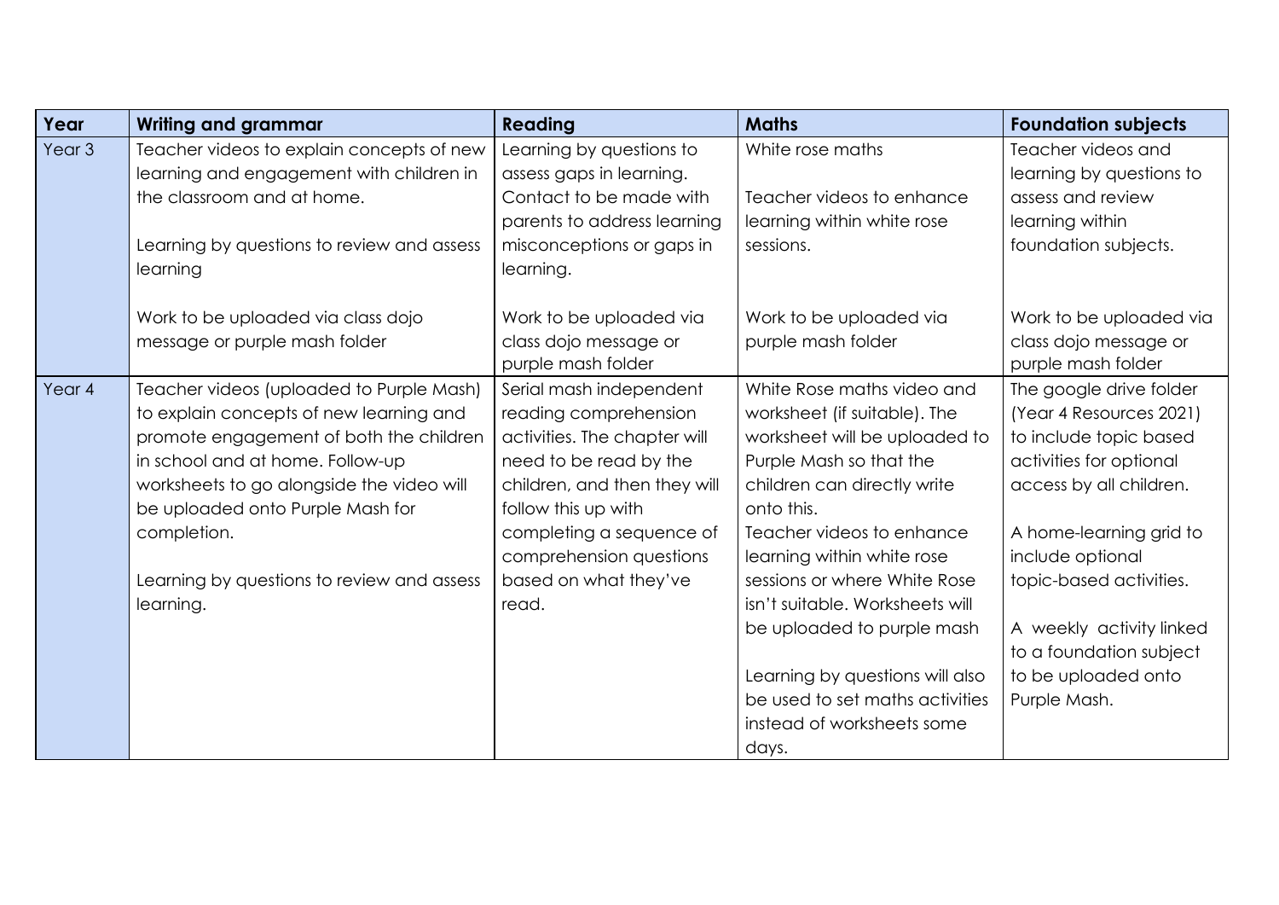| <b>Writing and grammar</b>                                                                                                                                                                                                                                                                                                    | <b>Reading</b>                                                                                                                                                                                                                                             | <b>Maths</b>                                                                                                                                                                                                                                                                                                                                                                                                                        | <b>Foundation subjects</b>                                                                                                                                                                                                                                                                                 |
|-------------------------------------------------------------------------------------------------------------------------------------------------------------------------------------------------------------------------------------------------------------------------------------------------------------------------------|------------------------------------------------------------------------------------------------------------------------------------------------------------------------------------------------------------------------------------------------------------|-------------------------------------------------------------------------------------------------------------------------------------------------------------------------------------------------------------------------------------------------------------------------------------------------------------------------------------------------------------------------------------------------------------------------------------|------------------------------------------------------------------------------------------------------------------------------------------------------------------------------------------------------------------------------------------------------------------------------------------------------------|
| Teacher videos to explain concepts of new<br>learning and engagement with children in<br>the classroom and at home.<br>Learning by questions to review and assess<br>learning                                                                                                                                                 | Learning by questions to<br>assess gaps in learning.<br>Contact to be made with<br>parents to address learning<br>misconceptions or gaps in<br>learning.                                                                                                   | White rose maths<br>Teacher videos to enhance<br>learning within white rose<br>sessions.                                                                                                                                                                                                                                                                                                                                            | Teacher videos and<br>learning by questions to<br>assess and review<br>learning within<br>foundation subjects.                                                                                                                                                                                             |
| Work to be uploaded via class dojo<br>message or purple mash folder                                                                                                                                                                                                                                                           | Work to be uploaded via<br>class dojo message or<br>purple mash folder                                                                                                                                                                                     | Work to be uploaded via<br>purple mash folder                                                                                                                                                                                                                                                                                                                                                                                       | Work to be uploaded via<br>class dojo message or<br>purple mash folder                                                                                                                                                                                                                                     |
| Teacher videos (uploaded to Purple Mash)<br>to explain concepts of new learning and<br>promote engagement of both the children<br>in school and at home. Follow-up<br>worksheets to go alongside the video will<br>be uploaded onto Purple Mash for<br>completion.<br>Learning by questions to review and assess<br>learning. | Serial mash independent<br>reading comprehension<br>activities. The chapter will<br>need to be read by the<br>children, and then they will<br>follow this up with<br>completing a sequence of<br>comprehension questions<br>based on what they've<br>read. | White Rose maths video and<br>worksheet (if suitable). The<br>worksheet will be uploaded to<br>Purple Mash so that the<br>children can directly write<br>onto this.<br>Teacher videos to enhance<br>learning within white rose<br>sessions or where White Rose<br>isn't suitable. Worksheets will<br>be uploaded to purple mash<br>Learning by questions will also<br>be used to set maths activities<br>instead of worksheets some | The google drive folder<br>(Year 4 Resources 2021)<br>to include topic based<br>activities for optional<br>access by all children.<br>A home-learning grid to<br>include optional<br>topic-based activities.<br>A weekly activity linked<br>to a foundation subject<br>to be uploaded onto<br>Purple Mash. |
|                                                                                                                                                                                                                                                                                                                               |                                                                                                                                                                                                                                                            |                                                                                                                                                                                                                                                                                                                                                                                                                                     | days.                                                                                                                                                                                                                                                                                                      |